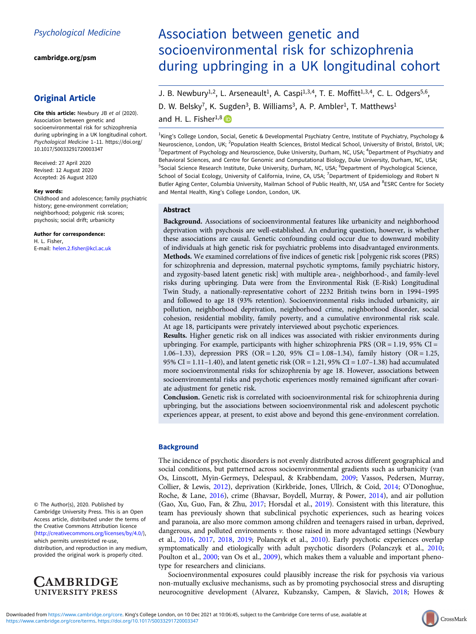[cambridge.org/psm](https://www.cambridge.org/psm)

# Original Article

Cite this article: Newbury JB et al (2020). Association between genetic and socioenvironmental risk for schizophrenia during upbringing in a UK longitudinal cohort. Psychological Medicine 1–11. [https://doi.org/](https://doi.org/10.1017/S0033291720003347) [10.1017/S0033291720003347](https://doi.org/10.1017/S0033291720003347)

Received: 27 April 2020 Revised: 12 August 2020 Accepted: 26 August 2020

#### Key words:

Childhood and adolescence; family psychiatric history; gene-environment correlation; neighborhood; polygenic risk scores; psychosis; social drift; urbanicity

#### Author for correspondence:

H. L. Fisher, E-mail: [helen.2.fisher@kcl.ac.uk](mailto:helen.2.fisher@kcl.ac.uk)

© The Author(s), 2020. Published by Cambridge University Press. This is an Open Access article, distributed under the terms of the Creative Commons Attribution licence ([http://creativecommons.org/licenses/by/4.0/\)](http://creativecommons.org/licenses/by/4.0/), which permits unrestricted re-use,

distribution, and reproduction in any medium, provided the original work is properly cited.



# Association between genetic and socioenvironmental risk for schizophrenia during upbringing in a UK longitudinal cohort

J. B. Newbury<sup>1,2</sup>, L. Arseneault<sup>1</sup>, A. Caspi<sup>1,3,4</sup>, T. E. Moffitt<sup>1,3,4</sup>, C. L. Odgers<sup>5,6</sup>, D. W. Belsky<sup>7</sup>, K. Sugden<sup>3</sup>, B. Williams<sup>3</sup>, A. P. Ambler<sup>1</sup>, T. Matthews<sup>1</sup>

and H. L. Fisher $^{1,8}$   $\Box$ 

<sup>1</sup>King's College London, Social, Genetic & Developmental Psychiatry Centre, Institute of Psychiatry, Psychology & Neuroscience, London, UK; <sup>2</sup>Population Health Sciences, Bristol Medical School, University of Bristol, Bristol, UK; <sup>3</sup>Department of Psychology and Neuroscience, Duke University, Durham, NC, USA; <sup>4</sup>Department of Psychiatry and Behavioral Sciences, and Centre for Genomic and Computational Biology, Duke University, Durham, NC, USA; <sup>5</sup>Social Science Research Institute, Duke University, Durham, NC, USA; <sup>6</sup>Department of Psychological Science, School of Social Ecology, University of California, Irvine, CA, USA; <sup>7</sup>Department of Epidemiology and Robert N Butler Aging Center, Columbia University, Mailman School of Public Health, NY, USA and <sup>8</sup>ESRC Centre for Society and Mental Health, King's College London, London, UK.

## Abstract

Background. Associations of socioenvironmental features like urbanicity and neighborhood deprivation with psychosis are well-established. An enduring question, however, is whether these associations are causal. Genetic confounding could occur due to downward mobility of individuals at high genetic risk for psychiatric problems into disadvantaged environments. Methods. We examined correlations of five indices of genetic risk [polygenic risk scores (PRS) for schizophrenia and depression, maternal psychotic symptoms, family psychiatric history, and zygosity-based latent genetic risk] with multiple area-, neighborhood-, and family-level risks during upbringing. Data were from the Environmental Risk (E-Risk) Longitudinal Twin Study, a nationally-representative cohort of 2232 British twins born in 1994–1995 and followed to age 18 (93% retention). Socioenvironmental risks included urbanicity, air pollution, neighborhood deprivation, neighborhood crime, neighborhood disorder, social cohesion, residential mobility, family poverty, and a cumulative environmental risk scale. At age 18, participants were privately interviewed about psychotic experiences.

Results. Higher genetic risk on all indices was associated with riskier environments during upbringing. For example, participants with higher schizophrenia PRS ( $OR = 1.19$ , 95% CI = 1.06–1.33), depression PRS (OR = 1.20, 95% CI = 1.08–1.34), family history (OR = 1.25, 95% CI = 1.11–1.40), and latent genetic risk (OR = 1.21, 95% CI = 1.07–1.38) had accumulated more socioenvironmental risks for schizophrenia by age 18. However, associations between socioenvironmental risks and psychotic experiences mostly remained significant after covariate adjustment for genetic risk.

Conclusion. Genetic risk is correlated with socioenvironmental risk for schizophrenia during upbringing, but the associations between socioenvironmental risk and adolescent psychotic experiences appear, at present, to exist above and beyond this gene-environment correlation.

## **Background**

The incidence of psychotic disorders is not evenly distributed across different geographical and social conditions, but patterned across socioenvironmental gradients such as urbanicity (van Os, Linscott, Myin-Germeys, Delespaul, & Krabbendam, [2009;](#page-10-0) Vassos, Pedersen, Murray, Collier, & Lewis, [2012](#page-10-0)), deprivation (Kirkbride, Jones, Ullrich, & Coid, [2014;](#page-9-0) O'Donoghue, Roche, & Lane, [2016](#page-10-0)), crime (Bhavsar, Boydell, Murray, & Power, [2014](#page-9-0)), and air pollution (Gao, Xu, Guo, Fan, & Zhu, [2017;](#page-9-0) Horsdal et al., [2019](#page-9-0)). Consistent with this literature, this team has previously shown that subclinical psychotic experiences, such as hearing voices and paranoia, are also more common among children and teenagers raised in urban, deprived, dangerous, and polluted environments v. those raised in more advantaged settings (Newbury et al., [2016](#page-9-0), [2017,](#page-9-0) [2018,](#page-9-0) [2019](#page-9-0); Polanczyk et al., [2010\)](#page-10-0). Early psychotic experiences overlap symptomatically and etiologically with adult psychotic disorders (Polanczyk et al., [2010](#page-10-0); Poulton et al., [2000](#page-10-0); van Os et al., [2009\)](#page-10-0), which makes them a valuable and important phenotype for researchers and clinicians.

Socioenvironmental exposures could plausibly increase the risk for psychosis via various non-mutually exclusive mechanisms, such as by promoting psychosocial stress and disrupting neurocognitive development (Alvarez, Kubzansky, Campen, & Slavich, [2018;](#page-9-0) Howes &

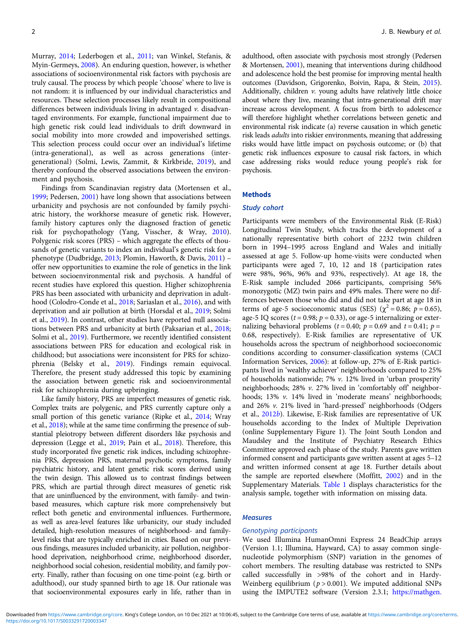Murray, [2014](#page-9-0); Lederbogen et al., [2011](#page-9-0); van Winkel, Stefanis, & Myin-Germeys, [2008](#page-10-0)). An enduring question, however, is whether associations of socioenvironmental risk factors with psychosis are truly causal. The process by which people 'choose' where to live is not random: it is influenced by our individual characteristics and resources. These selection processes likely result in compositional differences between individuals living in advantaged v. disadvantaged environments. For example, functional impairment due to high genetic risk could lead individuals to drift downward in social mobility into more crowded and impoverished settings. This selection process could occur over an individual's lifetime (intra-generational), as well as across generations (intergenerational) (Solmi, Lewis, Zammit, & Kirkbride, [2019\)](#page-10-0), and thereby confound the observed associations between the environment and psychosis.

Findings from Scandinavian registry data (Mortensen et al., [1999;](#page-9-0) Pedersen, [2001\)](#page-10-0) have long shown that associations between urbanicity and psychosis are not confounded by family psychiatric history, the workhorse measure of genetic risk. However, family history captures only the diagnosed fraction of genetic risk for psychopathology (Yang, Visscher, & Wray, [2010\)](#page-10-0). Polygenic risk scores (PRS) – which aggregate the effects of thousands of genetic variants to index an individual's genetic risk for a phenotype (Dudbridge, [2013](#page-9-0); Plomin, Haworth, & Davis, [2011](#page-10-0)) – offer new opportunities to examine the role of genetics in the link between socioenvironmental risk and psychosis. A handful of recent studies have explored this question. Higher schizophrenia PRS has been associated with urbanicity and deprivation in adulthood (Colodro-Conde et al., [2018;](#page-9-0) Sariaslan et al., [2016\)](#page-10-0), and with deprivation and air pollution at birth (Horsdal et al., [2019](#page-9-0); Solmi et al., [2019\)](#page-10-0). In contrast, other studies have reported null associations between PRS and urbanicity at birth (Paksarian et al., [2018](#page-10-0); Solmi et al., [2019\)](#page-10-0). Furthermore, we recently identified consistent associations between PRS for education and ecological risk in childhood; but associations were inconsistent for PRS for schizophrenia (Belsky et al., [2019\)](#page-9-0). Findings remain equivocal. Therefore, the present study addressed this topic by examining the association between genetic risk and socioenvironmental risk for schizophrenia during upbringing.

Like family history, PRS are imperfect measures of genetic risk. Complex traits are polygenic, and PRS currently capture only a small portion of this genetic variance (Ripke et al., [2014;](#page-10-0) Wray et al., [2018](#page-10-0)); while at the same time confirming the presence of substantial pleiotropy between different disorders like psychosis and depression (Legge et al., [2019;](#page-9-0) Pain et al., [2018](#page-10-0)). Therefore, this study incorporated five genetic risk indices, including schizophrenia PRS, depression PRS, maternal psychotic symptoms, family psychiatric history, and latent genetic risk scores derived using the twin design. This allowed us to contrast findings between PRS, which are partial through direct measures of genetic risk that are uninfluenced by the environment, with family- and twinbased measures, which capture risk more comprehensively but reflect both genetic and environmental influences. Furthermore, as well as area-level features like urbanicity, our study included detailed, high-resolution measures of neighborhood- and familylevel risks that are typically enriched in cities. Based on our previous findings, measures included urbanicity, air pollution, neighborhood deprivation, neighborhood crime, neighborhood disorder, neighborhood social cohesion, residential mobility, and family poverty. Finally, rather than focusing on one time-point (e.g. birth or adulthood), our study spanned birth to age 18. Our rationale was that socioenvironmental exposures early in life, rather than in

adulthood, often associate with psychosis most strongly (Pedersen & Mortensen, [2001\)](#page-10-0), meaning that interventions during childhood and adolescence hold the best promise for improving mental health outcomes (Davidson, Grigorenko, Boivin, Rapa, & Stein, [2015](#page-9-0)). Additionally, children  $\nu$ . young adults have relatively little choice about where they live, meaning that intra-generational drift may increase across development. A focus from birth to adolescence will therefore highlight whether correlations between genetic and environmental risk indicate (a) reverse causation in which genetic risk leads adults into riskier environments, meaning that addressing risks would have little impact on psychosis outcome; or (b) that genetic risk influences exposure to causal risk factors, in which case addressing risks would reduce young people's risk for psychosis.

## Methods

## Study cohort

Participants were members of the Environmental Risk (E-Risk) Longitudinal Twin Study, which tracks the development of a nationally representative birth cohort of 2232 twin children born in 1994–1995 across England and Wales and initially assessed at age 5. Follow-up home-visits were conducted when participants were aged 7, 10, 12 and 18 (participation rates were 98%, 96%, 96% and 93%, respectively). At age 18, the E-Risk sample included 2066 participants, comprising 56% monozygotic (MZ) twin pairs and 49% males. There were no differences between those who did and did not take part at age 18 in terms of age-5 socioeconomic status (SES) ( $\chi^2$  = 0.86; p = 0.65), age-5 IQ scores ( $t = 0.98$ ;  $p = 0.33$ ), or age-5 internalizing or externalizing behavioral problems ( $t = 0.40$ ;  $p = 0.69$  and  $t = 0.41$ ;  $p =$ 0.68, respectively). E-Risk families are representative of UK households across the spectrum of neighborhood socioeconomic conditions according to consumer-classification systems (CACI Information Services, [2006](#page-9-0)): at follow-up, 27% of E-Risk participants lived in 'wealthy achiever' neighborhoods compared to 25% of households nationwide; 7% v. 12% lived in 'urban prosperity' neighborhoods; 28% v. 27% lived in 'comfortably off' neighborhoods; 13% v. 14% lived in 'moderate means' neighborhoods; and 26% v. 21% lived in 'hard-pressed' neighborhoods (Odgers et al., [2012](#page-10-0)b). Likewise, E-Risk families are representative of UK households according to the Index of Multiple Deprivation (online Supplementary Figure 1). The Joint South London and Maudsley and the Institute of Psychiatry Research Ethics Committee approved each phase of the study. Parents gave written informed consent and participants gave written assent at ages 5–12 and written informed consent at age 18. Further details about the sample are reported elsewhere (Moffitt, [2002](#page-9-0)) and in the Supplementary Materials. [Table 1](#page-2-0) displays characteristics for the analysis sample, together with information on missing data.

#### **Measures**

#### Genotyping participants

We used Illumina HumanOmni Express 24 BeadChip arrays (Version 1.1; Illumina, Hayward, CA) to assay common singlenucleotide polymorphism (SNP) variation in the genomes of cohort members. The resulting database was restricted to SNPs called successfully in >98% of the cohort and in Hardy-Weinberg equilibrium ( $p > 0.001$ ). We imputed additional SNPs using the IMPUTE2 software (Version 2.3.1; [https://mathgen.](https://mathgen.stats.ox.ac.uk/impute/impute_v2.html)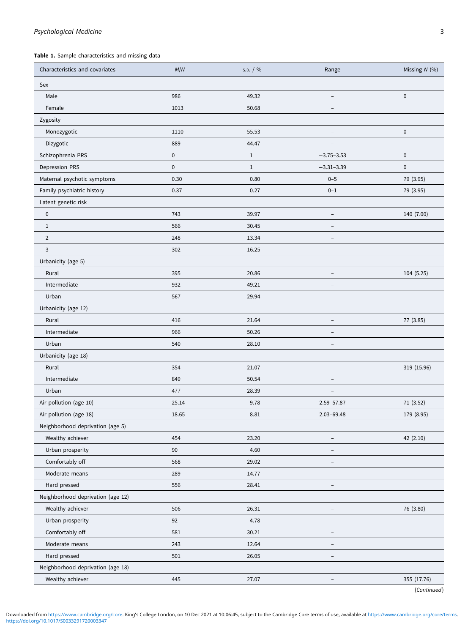<span id="page-2-0"></span>Table 1. Sample characteristics and missing data

| Characteristics and covariates    | M/N       | S.D. / %     | Range                    | Missing N (%) |
|-----------------------------------|-----------|--------------|--------------------------|---------------|
| Sex                               |           |              |                          |               |
| Male                              | 986       | 49.32        | $\overline{\phantom{a}}$ | $\pmb{0}$     |
| Female                            | 1013      | 50.68        | $\qquad \qquad -$        |               |
| Zygosity                          |           |              |                          |               |
| Monozygotic                       | 1110      | 55.53        |                          | $\pmb{0}$     |
| Dizygotic                         | 889       | 44.47        |                          |               |
| Schizophrenia PRS                 | $\pmb{0}$ | $\mathbf{1}$ | $-3.75 - 3.53$           | $\pmb{0}$     |
| Depression PRS                    | $\pmb{0}$ | $1\,$        | $-3.31 - 3.39$           | $\pmb{0}$     |
| Maternal psychotic symptoms       | 0.30      | 0.80         | $0 - 5$                  | 79 (3.95)     |
| Family psychiatric history        | 0.37      | 0.27         | $0 - 1$                  | 79 (3.95)     |
| Latent genetic risk               |           |              |                          |               |
| $\pmb{0}$                         | 743       | 39.97        | $\overline{\phantom{a}}$ | 140 (7.00)    |
| $\mathbf{1}$                      | 566       | 30.45        | $\overline{\phantom{a}}$ |               |
| $\overline{2}$                    | 248       | 13.34        | $\overline{\phantom{0}}$ |               |
| $\overline{3}$                    | 302       | 16.25        | $\qquad \qquad -$        |               |
| Urbanicity (age 5)                |           |              |                          |               |
| Rural                             | 395       | 20.86        | -                        | 104 (5.25)    |
| Intermediate                      | 932       | 49.21        | $\overline{\phantom{a}}$ |               |
| Urban                             | 567       | 29.94        | $\overline{\phantom{a}}$ |               |
| Urbanicity (age 12)               |           |              |                          |               |
| Rural                             | 416       | 21.64        |                          | 77 (3.85)     |
| Intermediate                      | 966       | 50.26        | $\overline{\phantom{a}}$ |               |
| Urban                             | 540       | 28.10        |                          |               |
| Urbanicity (age 18)               |           |              |                          |               |
| Rural                             | 354       | 21.07        | $\qquad \qquad -$        | 319 (15.96)   |
| Intermediate                      | 849       | 50.54        | $\overline{\phantom{a}}$ |               |
| Urban                             | 477       | 28.39        | $\overline{\phantom{a}}$ |               |
| Air pollution (age 10)            | 25.14     | 9.78         | 2.59-57.87               | 71 (3.52)     |
| Air pollution (age 18)            | 18.65     | 8.81         | $2.03 - 69.48$           | 179 (8.95)    |
| Neighborhood deprivation (age 5)  |           |              |                          |               |
| Wealthy achiever                  | 454       | 23.20        |                          | 42 (2.10)     |
| Urban prosperity                  | 90        | 4.60         |                          |               |
| Comfortably off                   | 568       | 29.02        | $\overline{\phantom{0}}$ |               |
| Moderate means                    | 289       | 14.77        |                          |               |
| Hard pressed                      | 556       | 28.41        |                          |               |
| Neighborhood deprivation (age 12) |           |              |                          |               |
| Wealthy achiever                  | 506       | 26.31        | $\qquad \qquad -$        | 76 (3.80)     |
| Urban prosperity                  | 92        | 4.78         | -                        |               |
| Comfortably off                   | 581       | 30.21        | $\overline{\phantom{a}}$ |               |
| Moderate means                    | 243       | 12.64        | $\qquad \qquad -$        |               |
| Hard pressed                      | 501       | 26.05        |                          |               |
| Neighborhood deprivation (age 18) |           |              |                          |               |
| Wealthy achiever                  | 445       | 27.07        | $\overline{\phantom{a}}$ | 355 (17.76)   |
|                                   |           |              |                          | (Continued)   |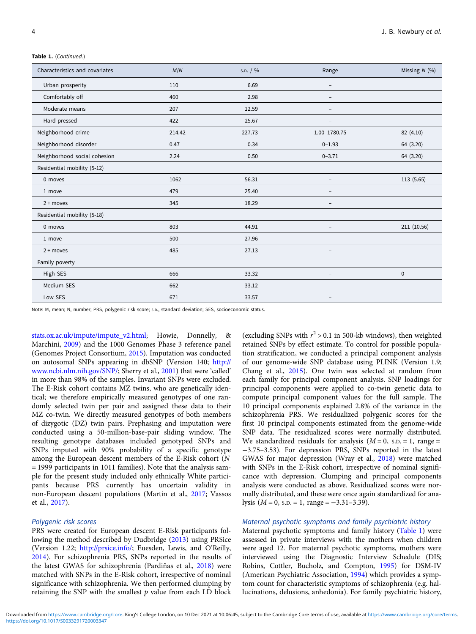#### Table 1. (Continued.)

|  | J. B. Newbury et al. |
|--|----------------------|
|--|----------------------|

| Characteristics and covariates | M/N    | S.D. $/$ % | Range                    | Missing $N$ (%) |
|--------------------------------|--------|------------|--------------------------|-----------------|
| Urban prosperity               | 110    | 6.69       | $\overline{\phantom{a}}$ |                 |
| Comfortably off                | 460    | 2.98       | $\overline{\phantom{a}}$ |                 |
| Moderate means                 | 207    | 12.59      | $\overline{\phantom{m}}$ |                 |
| Hard pressed                   | 422    | 25.67      | $\overline{\phantom{a}}$ |                 |
| Neighborhood crime             | 214.42 | 227.73     | 1.00-1780.75             | 82 (4.10)       |
| Neighborhood disorder          | 0.47   | 0.34       | $0 - 1.93$               | 64 (3.20)       |
| Neighborhood social cohesion   | 2.24   | 0.50       | $0 - 3.71$               | 64 (3.20)       |
| Residential mobility (5-12)    |        |            |                          |                 |
| 0 moves                        | 1062   | 56.31      | $\overline{\phantom{a}}$ | 113 (5.65)      |
| 1 move                         | 479    | 25.40      | $\overline{\phantom{m}}$ |                 |
| $2 + moves$                    | 345    | 18.29      | $\overline{\phantom{a}}$ |                 |
| Residential mobility (5-18)    |        |            |                          |                 |
| 0 moves                        | 803    | 44.91      | $\overline{\phantom{0}}$ | 211 (10.56)     |
| 1 move                         | 500    | 27.96      |                          |                 |
| $2 + moves$                    | 485    | 27.13      | $\overline{\phantom{m}}$ |                 |
| Family poverty                 |        |            |                          |                 |
| High SES                       | 666    | 33.32      | $\overline{\phantom{m}}$ | 0               |
| Medium SES                     | 662    | 33.12      | $\qquad \qquad -$        |                 |
| Low SES                        | 671    | 33.57      |                          |                 |

Note: M, mean; N, number; PRS, polygenic risk score; s.D., standard deviation; SES, socioeconomic status.

[stats.ox.ac.uk/impute/impute\\_v2.html](https://mathgen.stats.ox.ac.uk/impute/impute_v2.html); Howie, Donnelly, & Marchini, [2009](#page-9-0)) and the 1000 Genomes Phase 3 reference panel (Genomes Project Consortium, [2015](#page-9-0)). Imputation was conducted on autosomal SNPs appearing in dbSNP (Version 140; [http://](http://www.ncbi.nlm.nih.gov/SNP/) [www.ncbi.nlm.nih.gov/SNP/;](http://www.ncbi.nlm.nih.gov/SNP/) Sherry et al., [2001](#page-10-0)) that were 'called' in more than 98% of the samples. Invariant SNPs were excluded. The E-Risk cohort contains MZ twins, who are genetically identical; we therefore empirically measured genotypes of one randomly selected twin per pair and assigned these data to their MZ co-twin. We directly measured genotypes of both members of dizygotic (DZ) twin pairs. Prephasing and imputation were conducted using a 50-million-base-pair sliding window. The resulting genotype databases included genotyped SNPs and SNPs imputed with 90% probability of a specific genotype among the European descent members of the E-Risk cohort (N = 1999 participants in 1011 families). Note that the analysis sample for the present study included only ethnically White participants because PRS currently has uncertain validity in non-European descent populations (Martin et al., [2017](#page-9-0); Vassos et al., [2017\)](#page-10-0).

#### Polygenic risk scores

PRS were created for European descent E-Risk participants following the method described by Dudbridge ([2013\)](#page-9-0) using PRSice (Version 1.22; <http://prsice.info/>; Euesden, Lewis, and O'Reilly, [2014\)](#page-9-0). For schizophrenia PRS, SNPs reported in the results of the latest GWAS for schizophrenia (Pardiñas et al., [2018](#page-10-0)) were matched with SNPs in the E-Risk cohort, irrespective of nominal significance with schizophrenia. We then performed clumping by retaining the SNP with the smallest  $p$  value from each LD block (excluding SNPs with  $r^2 > 0.1$  in 500-kb windows), then weighted retained SNPs by effect estimate. To control for possible population stratification, we conducted a principal component analysis of our genome-wide SNP database using PLINK (Version 1.9; Chang et al., [2015\)](#page-9-0). One twin was selected at random from each family for principal component analysis. SNP loadings for principal components were applied to co-twin genetic data to compute principal component values for the full sample. The 10 principal components explained 2.8% of the variance in the schizophrenia PRS. We residualized polygenic scores for the first 10 principal components estimated from the genome-wide SNP data. The residualized scores were normally distributed. We standardized residuals for analysis  $(M = 0, s.D. = 1, range =$ −3.75–3.53). For depression PRS, SNPs reported in the latest GWAS for major depression (Wray et al., [2018](#page-10-0)) were matched with SNPs in the E-Risk cohort, irrespective of nominal significance with depression. Clumping and principal components analysis were conducted as above. Residualized scores were normally distributed, and these were once again standardized for analysis  $(M = 0, s.D. = 1, range = -3.31-3.39)$ .

## Maternal psychotic symptoms and family psychiatric history

Maternal psychotic symptoms and family history ([Table 1\)](#page-2-0) were assessed in private interviews with the mothers when children were aged 12. For maternal psychotic symptoms, mothers were interviewed using the Diagnostic Interview Schedule (DIS; Robins, Cottler, Bucholz, and Compton, [1995\)](#page-10-0) for DSM-IV (American Psychiatric Association, [1994\)](#page-9-0) which provides a symptom count for characteristic symptoms of schizophrenia (e.g. hallucinations, delusions, anhedonia). For family psychiatric history,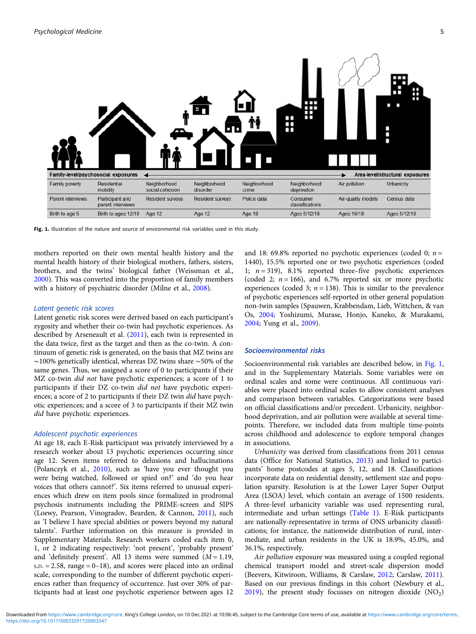

Fig. 1. Illustration of the nature and source of environmental risk variables used in this study.

mothers reported on their own mental health history and the mental health history of their biological mothers, fathers, sisters, brothers, and the twins' biological father (Weissman et al., [2000\)](#page-10-0). This was converted into the proportion of family members with a history of psychiatric disorder (Milne et al., [2008](#page-9-0)).

#### Latent genetic risk scores

Latent genetic risk scores were derived based on each participant's zygosity and whether their co-twin had psychotic experiences. As described by Arseneault et al. [\(2011](#page-9-0)), each twin is represented in the data twice, first as the target and then as the co-twin. A continuum of genetic risk is generated, on the basis that MZ twins are ∼100% genetically identical, whereas DZ twins share ∼50% of the same genes. Thus, we assigned a score of 0 to participants if their MZ co-twin did not have psychotic experiences; a score of 1 to participants if their DZ co-twin did not have psychotic experiences; a score of 2 to participants if their DZ twin did have psychotic experiences; and a score of 3 to participants if their MZ twin did have psychotic experiences.

#### Adolescent psychotic experiences

At age 18, each E-Risk participant was privately interviewed by a research worker about 13 psychotic experiences occurring since age 12. Seven items referred to delusions and hallucinations (Polanczyk et al., [2010\)](#page-10-0), such as 'have you ever thought you were being watched, followed or spied on?' and 'do you hear voices that others cannot?'. Six items referred to unusual experiences which drew on item pools since formalized in prodromal psychosis instruments including the PRIME-screen and SIPS (Loewy, Pearson, Vinogradov, Bearden, & Cannon, [2011](#page-9-0)), such as 'I believe I have special abilities or powers beyond my natural talents'. Further information on this measure is provided in Supplementary Materials. Research workers coded each item 0, 1, or 2 indicating respectively: 'not present', 'probably present' and 'definitely present'. All 13 items were summed  $(M = 1.19,$  $s.D. = 2.58$ , range = 0–18), and scores were placed into an ordinal scale, corresponding to the number of different psychotic experiences rather than frequency of occurrence. Just over 30% of participants had at least one psychotic experience between ages 12

and 18: 69.8% reported no psychotic experiences (coded 0;  $n =$ 1440), 15.5% reported one or two psychotic experiences (coded 1;  $n = 319$ ), 8.1% reported three–five psychotic experiences (coded 2;  $n = 166$ ), and 6.7% reported six or more psychotic experiences (coded 3;  $n = 138$ ). This is similar to the prevalence of psychotic experiences self-reported in other general population non-twin samples (Spauwen, Krabbendam, Lieb, Wittchen, & van Os, [2004](#page-10-0); Yoshizumi, Murase, Honjo, Kaneko, & Murakami, [2004](#page-10-0); Yung et al., [2009](#page-10-0)).

#### Socioenvironmental risks

Socioenvironmental risk variables are described below, in Fig. 1, and in the Supplementary Materials. Some variables were on ordinal scales and some were continuous. All continuous variables were placed into ordinal scales to allow consistent analyses and comparison between variables. Categorizations were based on official classifications and/or precedent. Urbanicity, neighborhood deprivation, and air pollution were available at several timepoints. Therefore, we included data from multiple time-points across childhood and adolescence to explore temporal changes in associations.

Urbanicity was derived from classifications from 2011 census data (Office for National Statistics, [2013](#page-10-0)) and linked to participants' home postcodes at ages 5, 12, and 18. Classifications incorporate data on residential density, settlement size and population sparsity. Resolution is at the Lower Layer Super Output Area (LSOA) level, which contain an average of 1500 residents. A three-level urbanicity variable was used representing rural, intermediate and urban settings ([Table 1\)](#page-2-0). E-Risk participants are nationally-representative in terms of ONS urbanicity classifications; for instance, the nationwide distribution of rural, intermediate, and urban residents in the UK is 18.9%, 45.0%, and 36.1%, respectively.

Air pollution exposure was measured using a coupled regional chemical transport model and street-scale dispersion model (Beevers, Kitwiroon, Williams, & Carslaw, [2012](#page-9-0); Carslaw, [2011](#page-9-0)). Based on our previous findings in this cohort (Newbury et al., [2019](#page-9-0)), the present study focusses on nitrogen dioxide  $(NO<sub>2</sub>)$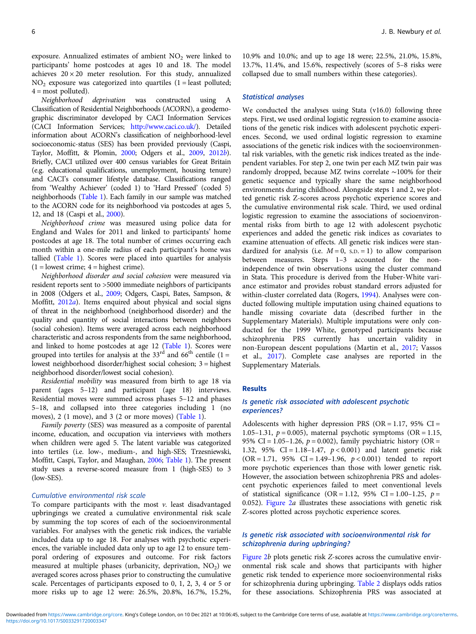exposure. Annualized estimates of ambient  $NO<sub>2</sub>$  were linked to participants' home postcodes at ages 10 and 18. The model achieves  $20 \times 20$  meter resolution. For this study, annualized  $NO<sub>2</sub>$  exposure was categorized into quartiles (1 = least polluted;  $4 =$  most polluted).

Neighborhood deprivation was constructed using A Classification of Residential Neighborhoods (ACORN), a geodemographic discriminator developed by CACI Information Services (CACI Information Services; <http://www.caci.co.uk/>). Detailed information about ACORN's classification of neighborhood-level socioeconomic-status (SES) has been provided previously (Caspi, Taylor, Moffitt, & Plomin, [2000](#page-9-0); Odgers et al., [2009](#page-10-0), [2012](#page-10-0)b). Briefly, CACI utilized over 400 census variables for Great Britain (e.g. educational qualifications, unemployment, housing tenure) and CACI's consumer lifestyle database. Classifications ranged from 'Wealthy Achiever' (coded 1) to 'Hard Pressed' (coded 5) neighborhoods [\(Table 1](#page-2-0)). Each family in our sample was matched to the ACORN code for its neighborhood via postcodes at ages 5, 12, and 18 (Caspi et al., [2000\)](#page-9-0).

Neighborhood crime was measured using police data for England and Wales for 2011 and linked to participants' home postcodes at age 18. The total number of crimes occurring each month within a one-mile radius of each participant's home was tallied [\(Table 1](#page-2-0)). Scores were placed into quartiles for analysis  $(1 =$ lowest crime;  $4 =$ highest crime).

Neighborhood disorder and social cohesion were measured via resident reports sent to >5000 immediate neighbors of participants in 2008 (Odgers et al., [2009;](#page-10-0) Odgers, Caspi, Bates, Sampson, & Moffitt, [2012](#page-10-0)a). Items enquired about physical and social signs of threat in the neighborhood (neighborhood disorder) and the quality and quantity of social interactions between neighbors (social cohesion). Items were averaged across each neighborhood characteristic and across respondents from the same neighborhood, and linked to home postcodes at age 12 ([Table 1](#page-2-0)). Scores were grouped into tertiles for analysis at the  $33<sup>rd</sup>$  and  $66<sup>th</sup>$  centile (1 = lowest neighborhood disorder/highest social cohesion; 3 = highest neighborhood disorder/lowest social cohesion).

Residential mobility was measured from birth to age 18 via parent (ages 5–12) and participant (age 18) interviews. Residential moves were summed across phases 5–12 and phases 5–18, and collapsed into three categories including 1 (no moves), 2 (1 move), and 3 (2 or more moves) ([Table 1](#page-2-0)).

Family poverty (SES) was measured as a composite of parental income, education, and occupation via interviews with mothers when children were aged 5. The latent variable was categorized into tertiles (i.e. low-, medium-, and high-SES; Trzesniewski, Moffitt, Caspi, Taylor, and Maughan, [2006;](#page-10-0) [Table 1\)](#page-2-0). The present study uses a reverse-scored measure from 1 (high-SES) to 3 (low-SES).

#### Cumulative environmental risk scale

To compare participants with the most  $\nu$ . least disadvantaged upbringings we created a cumulative environmental risk scale by summing the top scores of each of the socioenvironmental variables. For analyses with the genetic risk indices, the variable included data up to age 18. For analyses with psychotic experiences, the variable included data only up to age 12 to ensure temporal ordering of exposures and outcome. For risk factors measured at multiple phases (urbanicity, deprivation,  $NO<sub>2</sub>$ ) we averaged scores across phases prior to constructing the cumulative scale. Percentages of participants exposed to 0, 1, 2, 3, 4 or 5 or more risks up to age 12 were: 26.5%, 20.8%, 16.7%, 15.2%,

10.9% and 10.0%; and up to age 18 were; 22.5%, 21.0%, 15.8%, 13.7%, 11.4%, and 15.6%, respectively (scores of 5–8 risks were collapsed due to small numbers within these categories).

#### Statistical analyses

We conducted the analyses using Stata (v16.0) following three steps. First, we used ordinal logistic regression to examine associations of the genetic risk indices with adolescent psychotic experiences. Second, we used ordinal logistic regression to examine associations of the genetic risk indices with the socioenvironmental risk variables, with the genetic risk indices treated as the independent variables. For step 2, one twin per each MZ twin pair was randomly dropped, because MZ twins correlate ∼100% for their genetic sequence and typically share the same neighborhood environments during childhood. Alongside steps 1 and 2, we plotted genetic risk Z-scores across psychotic experience scores and the cumulative environmental risk scale. Third, we used ordinal logistic regression to examine the associations of socioenvironmental risks from birth to age 12 with adolescent psychotic experiences and added the genetic risk indices as covariates to examine attenuation of effects. All genetic risk indices were standardized for analysis (i.e.  $M = 0$ , s.p. = 1) to allow comparison between measures. Steps 1–3 accounted for the nonindependence of twin observations using the cluster command in Stata. This procedure is derived from the Huber-White variance estimator and provides robust standard errors adjusted for within-cluster correlated data (Rogers, [1994](#page-10-0)). Analyses were conducted following multiple imputation using chained equations to handle missing covariate data (described further in the Supplementary Materials). Multiple imputations were only conducted for the 1999 White, genotyped participants because schizophrenia PRS currently has uncertain validity in non-European descent populations (Martin et al., [2017;](#page-9-0) Vassos et al., [2017\)](#page-10-0). Complete case analyses are reported in the Supplementary Materials.

#### Results

## Is genetic risk associated with adolescent psychotic experiences?

Adolescents with higher depression PRS ( $OR = 1.17$ , 95%  $CI =$ 1.05–1.31,  $p = 0.005$ ), maternal psychotic symptoms (OR = 1.15, 95% CI = 1.05–1.26,  $p = 0.002$ ), family psychiatric history (OR = 1.32, 95% CI = 1.18-1.47,  $p < 0.001$ ) and latent genetic risk  $(OR = 1.71, 95\% \text{ CI} = 1.49 - 1.96, p < 0.001)$  tended to report more psychotic experiences than those with lower genetic risk. However, the association between schizophrenia PRS and adolescent psychotic experiences failed to meet conventional levels of statistical significance (OR = 1.12, 95% CI = 1.00–1.25,  $p =$ 0.052). [Figure 2](#page-6-0)a illustrates these associations with genetic risk Z-scores plotted across psychotic experience scores.

## Is genetic risk associated with socioenvironmental risk for schizophrenia during upbringing?

[Figure 2](#page-6-0)b plots genetic risk Z-scores across the cumulative environmental risk scale and shows that participants with higher genetic risk tended to experience more socioenvironmental risks for schizophrenia during upbringing. [Table 2](#page-7-0) displays odds ratios for these associations. Schizophrenia PRS was associated at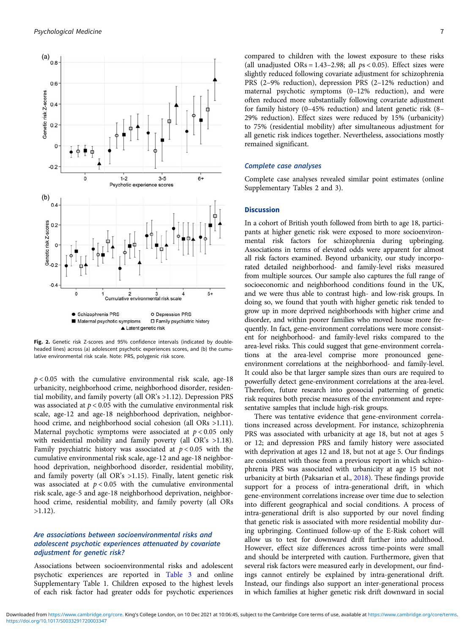<span id="page-6-0"></span>

Fig. 2. Genetic risk Z-scores and 95% confidence intervals (indicated by doubleheaded lines) across (a) adolescent psychotic experiences scores, and (b) the cumulative environmental risk scale. Note: PRS, polygenic risk score.

 $p < 0.05$  with the cumulative environmental risk scale, age-18 urbanicity, neighborhood crime, neighborhood disorder, residential mobility, and family poverty (all OR's >1.12). Depression PRS was associated at  $p < 0.05$  with the cumulative environmental risk scale, age-12 and age-18 neighborhood deprivation, neighborhood crime, and neighborhood social cohesion (all ORs >1.11). Maternal psychotic symptoms were associated at  $p < 0.05$  only with residential mobility and family poverty (all OR's >1.18). Family psychiatric history was associated at  $p < 0.05$  with the cumulative environmental risk scale, age-12 and age-18 neighborhood deprivation, neighborhood disorder, residential mobility, and family poverty (all OR's >1.15). Finally, latent genetic risk was associated at  $p < 0.05$  with the cumulative environmental risk scale, age-5 and age-18 neighborhood deprivation, neighborhood crime, residential mobility, and family poverty (all ORs >1.12).

## Are associations between socioenvironmental risks and adolescent psychotic experiences attenuated by covariate adjustment for genetic risk?

Associations between socioenvironmental risks and adolescent psychotic experiences are reported in [Table 3](#page-8-0) and online Supplementary Table 1. Children exposed to the highest levels of each risk factor had greater odds for psychotic experiences compared to children with the lowest exposure to these risks (all unadjusted ORs =  $1.43-2.98$ ; all  $ps < 0.05$ ). Effect sizes were slightly reduced following covariate adjustment for schizophrenia PRS (2–9% reduction), depression PRS (2–12% reduction) and maternal psychotic symptoms (0–12% reduction), and were often reduced more substantially following covariate adjustment for family history (0–45% reduction) and latent genetic risk (8– 29% reduction). Effect sizes were reduced by 15% (urbanicity) to 75% (residential mobility) after simultaneous adjustment for all genetic risk indices together. Nevertheless, associations mostly remained significant.

#### Complete case analyses

Complete case analyses revealed similar point estimates (online Supplementary Tables 2 and 3).

## **Discussion**

In a cohort of British youth followed from birth to age 18, participants at higher genetic risk were exposed to more socioenvironmental risk factors for schizophrenia during upbringing. Associations in terms of elevated odds were apparent for almost all risk factors examined. Beyond urbanicity, our study incorporated detailed neighborhood- and family-level risks measured from multiple sources. Our sample also captures the full range of socioeconomic and neighborhood conditions found in the UK, and we were thus able to contrast high- and low-risk groups. In doing so, we found that youth with higher genetic risk tended to grow up in more deprived neighborhoods with higher crime and disorder, and within poorer families who moved house more frequently. In fact, gene-environment correlations were more consistent for neighborhood- and family-level risks compared to the area-level risks. This could suggest that gene-environment correlations at the area-level comprise more pronounced geneenvironment correlations at the neighborhood- and family-level. It could also be that larger sample sizes than ours are required to powerfully detect gene-environment correlations at the area-level. Therefore, future research into geosocial patterning of genetic risk requires both precise measures of the environment and representative samples that include high-risk groups.

There was tentative evidence that gene-environment correlations increased across development. For instance, schizophrenia PRS was associated with urbanicity at age 18, but not at ages 5 or 12; and depression PRS and family history were associated with deprivation at ages 12 and 18, but not at age 5. Our findings are consistent with those from a previous report in which schizophrenia PRS was associated with urbanicity at age 15 but not urbanicity at birth (Paksarian et al., [2018](#page-10-0)). These findings provide support for a process of intra-generational drift, in which gene-environment correlations increase over time due to selection into different geographical and social conditions. A process of intra-generational drift is also supported by our novel finding that genetic risk is associated with more residential mobility during upbringing. Continued follow-up of the E-Risk cohort will allow us to test for downward drift further into adulthood. However, effect size differences across time-points were small and should be interpreted with caution. Furthermore, given that several risk factors were measured early in development, our findings cannot entirely be explained by intra-generational drift. Instead, our findings also support an inter-generational process in which families at higher genetic risk drift downward in social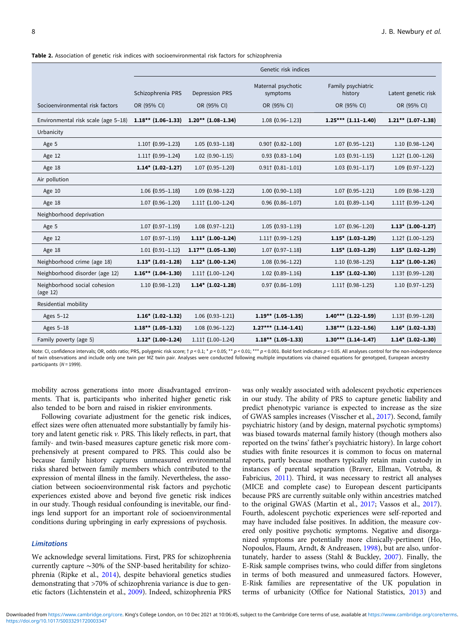<span id="page-7-0"></span>Table 2. Association of genetic risk indices with socioenvironmental risk factors for schizophrenia

|                                                   |                      |                       | Genetic risk indices           |                               |                        |
|---------------------------------------------------|----------------------|-----------------------|--------------------------------|-------------------------------|------------------------|
|                                                   | Schizophrenia PRS    | <b>Depression PRS</b> | Maternal psychotic<br>symptoms | Family psychiatric<br>history | Latent genetic risk    |
| Socioenvironmental risk factors                   | OR (95% CI)          | OR (95% CI)           | OR (95% CI)                    | OR (95% CI)                   | OR (95% CI)            |
| Environmental risk scale (age 5-18)               | $1.18**$ (1.06-1.33) | $1.20**$ (1.08-1.34)  | $1.08$ (0.96-1.23)             | $1.25***$ $(1.11-1.40)$       | $1.21**$ (1.07-1.38)   |
| Urbanicity                                        |                      |                       |                                |                               |                        |
| Age 5                                             | $1.10$ † (0.99-1.23) | $1.05(0.93 - 1.18)$   | $0.90$ † $(0.82 - 1.00)$       | $1.07$ (0.95-1.21)            | $1.10(0.98-1.24)$      |
| Age 12                                            | $1.11$ † (0.99-1.24) | $1.02(0.90-1.15)$     | $0.93$ $(0.83 - 1.04)$         | $1.03$ (0.91-1.15)            | $1.12$ † $(1.00-1.26)$ |
| Age 18                                            | $1.14*$ (1.02-1.27)  | $1.07$ (0.95-1.20)    | $0.91$ † $(0.81 - 1.01)$       | $1.03$ (0.91-1.17)            | $1.09$ (0.97-1.22)     |
| Air pollution                                     |                      |                       |                                |                               |                        |
| Age 10                                            | $1.06$ (0.95-1.18)   | $1.09$ (0.98-1.22)    | $1.00$ (0.90-1.10)             | $1.07$ (0.95-1.21)            | $1.09$ (0.98-1.23)     |
| Age 18                                            | $1.07$ (0.96-1.20)   | $1.11$ † (1.00-1.24)  | $0.96$ (0.86-1.07)             | $1.01$ (0.89-1.14)            | $1.11$ † (0.99-1.24)   |
| Neighborhood deprivation                          |                      |                       |                                |                               |                        |
| Age 5                                             | $1.07$ (0.97-1.19)   | $1.08$ (0.97-1.21)    | $1.05(0.93 - 1.19)$            | $1.07$ (0.96-1.20)            | $1.13* (1.00-1.27)$    |
| Age 12                                            | $1.07$ (0.97-1.19)   | $1.11*$ (1.00-1.24)   | $1.11$ † (0.99-1.25)           | $1.15*$ (1.03-1.29)           | $1.12$ † (1.00-1.25)   |
| Age 18                                            | $1.01$ (0.91-1.12)   | $1.17**$ (1.05-1.30)  | $1.07$ (0.97-1.18)             | $1.15*$ (1.03-1.29)           | $1.15*$ (1.02-1.29)    |
| Neighborhood crime (age 18)                       | $1.13*$ (1.01-1.28)  | $1.12*$ (1.00-1.24)   | $1.08$ (0.96-1.22)             | $1.10$ (0.98-1.25)            | $1.12*$ (1.00-1.26)    |
| Neighborhood disorder (age 12)                    | $1.16**$ (1.04-1.30) | $1.11$ † (1.00-1.24)  | $1.02$ (0.89-1.16)             | $1.15*$ (1.02-1.30)           | $1.13$ † (0.99-1.28)   |
| Neighborhood social cohesion<br>$(\text{age }12)$ | $1.10$ (0.98-1.23)   | $1.14* (1.02-1.28)$   | $0.97$ (0.86-1.09)             | $1.11$ † (0.98-1.25)          | $1.10$ (0.97-1.25)     |
| Residential mobility                              |                      |                       |                                |                               |                        |
| Ages 5-12                                         | $1.16*$ (1.02-1.32)  | $1.06$ (0.93-1.21)    | $1.19**$ (1.05-1.35)           | $1.40***$ (1.22-1.59)         | $1.13$ † (0.99-1.28)   |
| Ages 5-18                                         | $1.18**$ (1.05-1.32) | $1.08$ (0.96-1.22)    | $1.27***$ $(1.14-1.41)$        | $1.38***$ (1.22-1.56)         | $1.16* (1.02-1.33)$    |
| Family poverty (age 5)                            | $1.12*$ (1.00-1.24)  | $1.11$ † (1.00-1.24)  | $1.18**$ (1.05-1.33)           | $1.30***$ $(1.14-1.47)$       | $1.14* (1.02-1.30)$    |

Note: CI, confidence intervals; OR, odds ratio; PRS, polygenic risk score;  $\uparrow$  p < 0.05; \*\* p < 0.01; \*\* p < 0.01. Bold font indicates p < 0.05. All analyses control for the non-independence of twin observations and include only one twin per MZ twin pair. Analyses were conducted following multiple imputations via chained equations for genotyped, European ancestry participants (N = 1999).

mobility across generations into more disadvantaged environments. That is, participants who inherited higher genetic risk also tended to be born and raised in riskier environments.

Following covariate adjustment for the genetic risk indices, effect sizes were often attenuated more substantially by family history and latent genetic risk v. PRS. This likely reflects, in part, that family- and twin-based measures capture genetic risk more comprehensively at present compared to PRS. This could also be because family history captures unmeasured environmental risks shared between family members which contributed to the expression of mental illness in the family. Nevertheless, the association between socioenvironmental risk factors and psychotic experiences existed above and beyond five genetic risk indices in our study. Though residual confounding is inevitable, our findings lend support for an important role of socioenvironmental conditions during upbringing in early expressions of psychosis.

#### Limitations

We acknowledge several limitations. First, PRS for schizophrenia currently capture ∼30% of the SNP-based heritability for schizophrenia (Ripke et al., [2014\)](#page-10-0), despite behavioral genetics studies demonstrating that >70% of schizophrenia variance is due to genetic factors (Lichtenstein et al., [2009](#page-9-0)). Indeed, schizophrenia PRS

was only weakly associated with adolescent psychotic experiences in our study. The ability of PRS to capture genetic liability and predict phenotypic variance is expected to increase as the size of GWAS samples increases (Visscher et al., [2017](#page-10-0)). Second, family psychiatric history (and by design, maternal psychotic symptoms) was biased towards maternal family history (though mothers also reported on the twins' father's psychiatric history). In large cohort studies with finite resources it is common to focus on maternal reports, partly because mothers typically retain main custody in instances of parental separation (Braver, Ellman, Votruba, & Fabricius, [2011](#page-9-0)). Third, it was necessary to restrict all analyses (MICE and complete case) to European descent participants because PRS are currently suitable only within ancestries matched to the original GWAS (Martin et al., [2017](#page-10-0); Vassos et al., 2017). Fourth, adolescent psychotic experiences were self-reported and may have included false positives. In addition, the measure covered only positive psychotic symptoms. Negative and disorganized symptoms are potentially more clinically-pertinent (Ho, Nopoulos, Flaum, Arndt, & Andreasen, [1998\)](#page-9-0), but are also, unfortunately, harder to assess (Stahl & Buckley, [2007](#page-10-0)). Finally, the E-Risk sample comprises twins, who could differ from singletons in terms of both measured and unmeasured factors. However, E-Risk families are representative of the UK population in terms of urbanicity (Office for National Statistics, [2013](#page-10-0)) and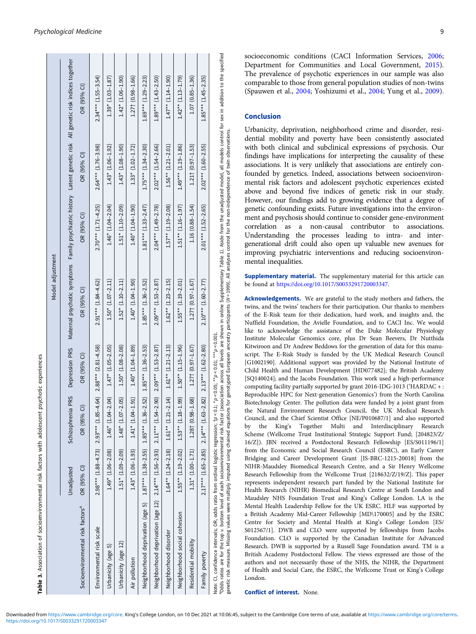<span id="page-8-0"></span>

| able 3. Association of socioenvironmental risk factors with adolescent                                                            |                       |                                                                               | psychotic experiences               |                                                                                                                             |                         |                          |                               |
|-----------------------------------------------------------------------------------------------------------------------------------|-----------------------|-------------------------------------------------------------------------------|-------------------------------------|-----------------------------------------------------------------------------------------------------------------------------|-------------------------|--------------------------|-------------------------------|
|                                                                                                                                   |                       |                                                                               |                                     | Model adjustment                                                                                                            |                         |                          |                               |
|                                                                                                                                   | Unadjusted            | Schizophrenia PRS                                                             |                                     | Depression PRS Maternal psychotic symptoms Family psychiatric history Latent genetic risk All genetic risk indices together |                         |                          |                               |
| Socioenvironmental risk factors <sup>a</sup>                                                                                      | OR (95% CI)           | ຣ<br>OR (95%                                                                  | OR (95% CI)                         | OR (95% CI)                                                                                                                 | OR (95% CI)             | OR (95% CI)              | OR (95% CI)                   |
| Environmental risk scale                                                                                                          |                       | $2.98***$ ( $1.88-4.73$ ) $2.93***$ ( $1.85-4.64$ ) $2.88***$ ( $2.81-4.58$ ) |                                     | $2.91***$ $(1.84-4.62)$                                                                                                     | $2.70***$ (1.71-4.25)   | $2.64***$ (1.76-3.98)    | $2.34***$ (1.55-3.54)         |
| Urbanicity (age 5)                                                                                                                | $1.49*$ $(1.06-2.08)$ | $1.46* (1.04 - 2.04)$                                                         | $1.47*$ $(1.05-2.05)$               | $1.50*(1.07-2.11)$                                                                                                          | $1.46* (1.04 - 2.04)$   | $1.43*$ $(1.06-1.92)$    | $1.39*$ $(1.03-1.87)$         |
| Urbanicity (age 12)                                                                                                               |                       | $1.51$ * (1.09-2.09) $1.48$ * (1.07-2.05)                                     | $1.50*(1.08-2.08)$                  | $1.52^*$ $(1.10-2.11)$                                                                                                      | $1.51*$ $(1.10-2.09)$   | $1.43*$ $(1.08-1.90)$    | $1.42*(1.06-1.90)$            |
| Air pollution                                                                                                                     |                       | $1.43$ * $(1.06-1.93)$ $1.41$ * $(1.04-1.91)$                                 | $1.40*(1.04 - 1.89)$                | $1.40*$ $(1.04-1.90)$                                                                                                       | $1.40*$ $(1.04-1.90)$   | $1.33*$ $(1.02 - 1.72)$  | $1.27 \uparrow (0.98 - 1.66)$ |
| Neighborhood deprivation (age 5) 1.87*** (1.38-2.55) 1.85*** (1.36-2.52) 1.85*** (1.36-2.53)                                      |                       |                                                                               |                                     | $1.85***$ (1.36-2.52)                                                                                                       | $1.81***$ (1.33-2.47)   | $1.75***$ (1.34-2.30)    | $1.69***$ (1.29-2.23)         |
| Neighborhood deprivation (age 12) 2.14*** (1.56-2.93) 2.11*** (1.54                                                               |                       |                                                                               | $-2.90$ ) $2.09***$ $(1.53-2.87)$   | $2.09***$ (1.53-2.87)                                                                                                       | $2.04***$ (1.49-2.78)   | $2.02***$ (1.54-2.66)    | $1.89***$ $(1.43-2.50)$       |
| Neighborhood disorder                                                                                                             |                       | $1.64**$ (1.24-2.18) $1.61**$ (1.21-2.14)                                     | $1.61$ <sup>*</sup> $(1.21 - 2.13)$ | $1.62^*$ (1.23-2.15)                                                                                                        | $1.57**$ $(1.19-2.08)$  | $1.56**$ $(1.21-2.01)$   | $1.47**$ $(1.14-1.90)$        |
| Neighborhood social cohesion                                                                                                      |                       | $1.55**$ $(1.19-2.02)$ $1.53**$ $(1.18-1.99)$                                 | $1.50**$ (1.15-1.96)                | $1.55**$ $(1.19-2.01)$                                                                                                      | $1.51**$ $(1.16-1.97)$  | $1.49***$ $(1.19-1.86)$  | $1.42**$ $(1.13-1.79)$        |
| Residential mobility                                                                                                              |                       | $1.31$ * $(1.00-1.71)$ $1.28$ † $(0.98-1.68)$                                 | $1.27 \uparrow (0.97 - 1.67)$       | $1.27\uparrow(0.97 - 1.67)$                                                                                                 | $1.16(0.88 - 1.54)$     | $1.21$ † $(0.97 - 1.53)$ | $1.07(0.85 - 1.36)$           |
| Family poverty                                                                                                                    |                       | $2.17***$ (1.65-2.85) $2.14***$ (1.63-2.82) $2.13***$ (1.62-2.80)             |                                     | $2.10***$ (1.60-2.77)                                                                                                       | $2.01***$ $(1.52-2.65)$ | $2.02***$ (1.60-2.55)    | $1.85***$ (1.45-2.35)         |
| lote: CI, confidence intervals; OR, odds ratio from ordinal logistic regression; 1p < 0.1; *p < 0.01; *** p < 0.01; *** p < 0.01. |                       |                                                                               |                                     |                                                                                                                             |                         |                          |                               |

specified Note: CI, confidence intervals; OR, odds ratio from ordinal logistic regression; †ρ<0.01; \*ρ<0.05; \*\*ρ<0.001.<br>"Odds ratios are for the top κ, odds ratio from ordinal logistic regression; †ρ<0.01; \*ρ<0.05; \*\*ρ<0.001.<br>"Odds .<br>E  $\frac{1}{2}$ addition sex in tor twin observations. control genetic risk measure. Missing values were multiply imputed using chained equations for genotyped European ancestry participants (N = 1999). All analyses control for the non-independence of twin observations. all models ৳ the unadjusted model, the non-independence Supplementary Table 1). Aside from<br>(N = 1999). All analyses control for th levels are shown in online :<br>pean ancestry participants ss all lev<br>Europea (association across<br>ns for genotyped Eu sk factor (associanting) risk i socioenvironmental risl<br>imputed using chained are for the top v. bottom level of each<br>measure. Missing values were multiply i ratios risk r genetic adds r

Department for Communities and Local Government, [2015](#page-9-0)). The prevalence of psychotic experiences in our sample was also comparable to those from general population studies of non-twins (Spauwen et al., [2004](#page-10-0); Yoshizumi et al., [2004](#page-10-0); Yung et al., [2009](#page-10-0)).

socioeconomic conditions (CACI Information Services, [2006](#page-9-0);

# Conclusion

Urbanicity, deprivation, neighborhood crime and disorder, residential mobility and poverty have been consistently associated with both clinical and subclinical expressions of psychosis. Our findings have implications for interpreting the causality of these associations. It is very unlikely that associations are entirely confounded by genetics. Indeed, associations between socioenvironmental risk factors and adolescent psychotic experiences existed above and beyond five indices of genetic risk in our study. However, our findings add to growing evidence that a degree of genetic confounding exists. Future investigations into the environment and psychosis should continue to consider gene-environment correlation as a non-causal contributor to associations. Understanding the processes leading to intra- and intergenerational drift could also open up valuable new avenues for improving psychiatric interventions and reducing socioenvironmental inequalities.

Supplementary material. The supplementary material for this article can be found at [https://doi.org/10.1017/S0033291720003347.](https://doi.org/10.1017/S0033291720003347)

Acknowledgements. We are grateful to the study mothers and fathers, the twins, and the twins' teachers for their participation. Our thanks to members of the E-Risk team for their dedication, hard work, and insights and, the Nuffield Foundation, the Avielle Foundation, and to CACI Inc. We would like to acknowledge the assistance of the Duke Molecular Physiology Institute Molecular Genomics core, plus Dr Sean Beevers, Dr Nutthida Kitwiroon and Dr Andrew Beddows for the generation of data for this manuscript. The E-Risk Study is funded by the UK Medical Research Council [G1002190]. Additional support was provided by the National Institute of Child Health and Human Development [HD077482]; the British Academy [SQ140024]; and the Jacobs Foundation. This work used a high-performance computing facility partially supported by grant 2016-IDG-1013 ('HARDAC + : Reproducible HPC for Next-generation Genomics') from the North Carolina Biotechnology Center. The pollution data were funded by a joint grant from the Natural Environment Research Council, the UK Medical Research Council, and the Chief Scientist Office [NE/P010687/1] and also supported by the King's Together Multi and Interdisciplinary Research Scheme (Wellcome Trust Institutional Strategic Support Fund; [204823/Z/ 16/Z]). JBN received a Postdoctoral Research Fellowship [ES/S011196/1] from the Economic and Social Research Council (ESRC), an Early Career Bridging and Career Development Grant [IS-BRC-1215-20018] from the NIHR-Maudsley Biomedical Research Centre, and a Sir Henry Wellcome Research Fellowship from the Wellcome Trust [218632/Z/19/Z]. This paper represents independent research part funded by the National Institute for Health Research (NIHR) Biomedical Research Centre at South London and Maudsley NHS Foundation Trust and King's College London. LA is the Mental Health Leadership Fellow for the UK ESRC. HLF was supported by a British Academy Mid-Career Fellowship [MD\170005] and by the ESRC Centre for Society and Mental Health at King's College London [ES/ S012567/1]. DWB and CLO were supported by fellowships from Jacobs Foundation. CLO is supported by the Canadian Institute for Advanced Research. DWB is supported by a Russell Sage Foundation award. TM is a British Academy Postdoctoral Fellow. The views expressed are those of the authors and not necessarily those of the NHS, the NIHR, the Department of Health and Social Care, the ESRC, the Wellcome Trust or King's College London.

Conflict of interest. None.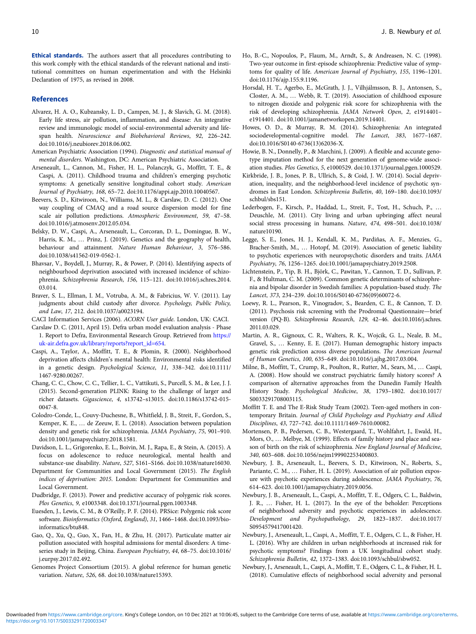<span id="page-9-0"></span>Ethical standards. The authors assert that all procedures contributing to this work comply with the ethical standards of the relevant national and institutional committees on human experimentation and with the Helsinki Declaration of 1975, as revised in 2008.

#### References

- Alvarez, H. A. O., Kubzansky, L. D., Campen, M. J., & Slavich, G. M. (2018). Early life stress, air pollution, inflammation, and disease: An integrative review and immunologic model of social-environmental adversity and lifespan health. Neuroscience and Biobehavioral Reviews, 92, 226–242. doi:10.1016/j.neubiorev.2018.06.002.
- American Psychiatric Association (1994). Diagnostic and statistical manual of mental disorders. Washington, DC: American Psychiatric Association.
- Arseneault, L., Cannon, M., Fisher, H. L., Polanczyk, G., Moffitt, T. E., & Caspi, A. (2011). Childhood trauma and children's emerging psychotic symptoms: A genetically sensitive longitudinal cohort study. American Journal of Psychiatry, 168, 65–72. doi:10.1176/appi.ajp.2010.10040567.
- Beevers, S. D., Kitwiroon, N., Williams, M. L., & Carslaw, D. C. (2012). One way coupling of CMAQ and a road source dispersion model for fine scale air pollution predictions. Atmospheric Environment, 59, 47–58. doi:10.1016/j.atmosenv.2012.05.034.
- Belsky, D. W., Caspi, A., Arseneault, L., Corcoran, D. L., Domingue, B. W., Harris, K. M., … Prinz, J. (2019). Genetics and the geography of health, behaviour and attainment. Nature Human Behaviour, 3, 576–586. doi:10.1038/s41562-019-0562-1.
- Bhavsar, V., Boydell, J., Murray, R., & Power, P. (2014). Identifying aspects of neighbourhood deprivation associated with increased incidence of schizophrenia. Schizophrenia Research, 156, 115–121. doi:10.1016/j.schres.2014. 03.014.
- Braver, S. L., Ellman, I. M., Votruba, A. M., & Fabricius, W. V. (2011). Lay judgments about child custody after divorce. Psychology, Public Policy, and Law, 17, 212. doi:10.1037/a0023194.
- CACI Information Services (2006). ACORN User guide. London, UK: CACI.
- Carslaw D. C. (2011, April 15). Defra urban model evaluation analysis Phase 1. Report to Defra, Environmental Research Group. Retrieved from [https://](https://uk-air.defra.gov.uk/library/reports?report_id=654) [uk-air.defra.gov.uk/library/reports?report\\_id=654.](https://uk-air.defra.gov.uk/library/reports?report_id=654)
- Caspi, A., Taylor, A., Moffitt, T. E., & Plomin, R. (2000). Neighborhood deprivation affects children's mental health: Environmental risks identified in a genetic design. Psychological Science, 11, 338–342. doi:10.1111/ 1467-9280.00267.
- Chang, C. C., Chow, C. C., Tellier, L. C., Vattikuti, S., Purcell, S. M., & Lee, J. J. (2015). Second-generation PLINK: Rising to the challenge of larger and richer datasets. Gigascience, 4, s13742–s13015. doi:10.1186/s13742-015- 0047-8.
- Colodro-Conde, L., Couvy-Duchesne, B., Whitfield, J. B., Streit, F., Gordon, S., Kemper, K. E., … de Zeeuw, E. L. (2018). Association between population density and genetic risk for schizophrenia. JAMA Psychiatry, 75, 901–910. doi:10.1001/jamapsychiatry.2018.1581.
- Davidson, L. L., Grigorenko, E. L., Boivin, M. J., Rapa, E., & Stein, A. (2015). A focus on adolescence to reduce neurological, mental health and substance-use disability. Nature, 527, S161–S166. doi:10.1038/nature16030.
- Department for Communities and Local Government (2015). The English indices of deprivation: 2015. London: Department for Communities and Local Government.
- Dudbridge, F. (2013). Power and predictive accuracy of polygenic risk scores. Plos Genetics, 9, e1003348. doi:10.1371/journal.pgen.1003348.
- Euesden, J., Lewis, C. M., & O'Reilly, P. F. (2014). PRSice: Polygenic risk score software. Bioinformatics (Oxford, England), 31, 1466–1468. doi:10.1093/bioinformatics/btu848.
- Gao, Q., Xu, Q., Guo, X., Fan, H., & Zhu, H. (2017). Particulate matter air pollution associated with hospital admissions for mental disorders: A timeseries study in Beijing, China. European Psychiatry, 44, 68–75. doi:10.1016/ j.eurpsy.2017.02.492.
- Genomes Project Consortium (2015). A global reference for human genetic variation. Nature, 526, 68. doi:10.1038/nature15393.
- Ho, B.-C., Nopoulos, P., Flaum, M., Arndt, S., & Andreasen, N. C. (1998). Two-year outcome in first-episode schizophrenia: Predictive value of symptoms for quality of life. American Journal of Psychiatry, 155, 1196–1201. doi:10.1176/ajp.155.9.1196.
- Horsdal, H. T., Agerbo, E., McGrath, J. J., Vilhjálmsson, B. J., Antonsen, S., Closter, A. M., … Webb, R. T. (2019). Association of childhood exposure to nitrogen dioxide and polygenic risk score for schizophrenia with the risk of developing schizophrenia. JAMA Network Open, 2, e1914401– e1914401. doi:10.1001/jamanetworkopen.2019.14401.
- Howes, O. D., & Murray, R. M. (2014). Schizophrenia: An integrated sociodevelopmental-cognitive model. The Lancet, 383, 1677–1687. doi:10.1016/S0140-6736(13)62036-X.
- Howie, B. N., Donnelly, P., & Marchini, J. (2009). A flexible and accurate genotype imputation method for the next generation of genome-wide association studies. Plos Genetics, 5, e1000529. doi:10.1371/journal.pgen.1000529.
- Kirkbride, J. B., Jones, P. B., Ullrich, S., & Coid, J. W. (2014). Social deprivation, inequality, and the neighborhood-level incidence of psychotic syndromes in East London. Schizophrenia Bulletin, 40, 169–180. doi:10.1093/ schbul/sbs151.
- Lederbogen, F., Kirsch, P., Haddad, L., Streit, F., Tost, H., Schuch, P., … Deuschle, M. (2011). City living and urban upbringing affect neural social stress processing in humans. Nature, 474, 498–501. doi:10.1038/ nature10190.
- Legge, S. E., Jones, H. J., Kendall, K. M., Pardiñas, A. F., Menzies, G., Bracher-Smith, M., … Hotopf, M. (2019). Association of genetic liability to psychotic experiences with neuropsychotic disorders and traits. JAMA Psychiatry, 76, 1256–1265. doi:10.1001/jamapsychiatry.2019.2508.
- Lichtenstein, P., Yip, B. H., Björk, C., Pawitan, Y., Cannon, T. D., Sullivan, P. F., & Hultman, C. M. (2009). Common genetic determinants of schizophrenia and bipolar disorder in Swedish families: A population-based study. The Lancet, 373, 234–239. doi:10.1016/S0140-6736(09)60072-6.
- Loewy, R. L., Pearson, R., Vinogradov, S., Bearden, C. E., & Cannon, T. D. (2011). Psychosis risk screening with the Prodromal Questionnaire—brief version (PQ-B). Schizophrenia Research, 129, 42–46. doi:10.1016/j.schres. 2011.03.029.
- Martin, A. R., Gignoux, C. R., Walters, R. K., Wojcik, G. L., Neale, B. M., Gravel, S., … Kenny, E. E. (2017). Human demographic history impacts genetic risk prediction across diverse populations. The American Journal of Human Genetics, 100, 635–649. doi:10.1016/j.ajhg.2017.03.004.
- Milne, B., Moffitt, T., Crump, R., Poulton, R., Rutter, M., Sears, M., … Caspi, A. (2008). How should we construct psychiatric family history scores? A comparison of alternative approaches from the Dunedin Family Health History Study. Psychological Medicine, 38, 1793–1802. doi:10.1017/ S0033291708003115.
- Moffitt T. E. and The E-Risk Study Team (2002). Teen-aged mothers in contemporary Britain. Journal of Child Psychology and Psychiatry and Allied Disciplines, 43, 727–742. doi:10.1111/1469-7610.00082.
- Mortensen, P. B., Pedersen, C. B., Westergaard, T., Wohlfahrt, J., Ewald, H., Mors, O., … Melbye, M. (1999). Effects of family history and place and season of birth on the risk of schizophrenia. New England Journal of Medicine, 340, 603–608. doi:10.1056/nejm199902253400803.
- Newbury, J. B., Arseneault, L., Beevers, S. D., Kitwiroon, N., Roberts, S., Pariante, C. M., … Fisher, H. L. (2019). Association of air pollution exposure with psychotic experiences during adolescence. JAMA Psychiatry, 76, 614–623. doi:10.1001/jamapsychiatry.2019.0056.
- Newbury, J. B., Arseneault, L., Caspi, A., Moffitt, T. E., Odgers, C. L., Baldwin, J. R., … Fisher, H. L. (2017). In the eye of the beholder: Perceptions of neighborhood adversity and psychotic experiences in adolescence. Development and Psychopathology, 29, 1823–1837. doi:10.1017/ S0954579417001420.
- Newbury, J., Arseneault, L., Caspi, A., Moffitt, T. E., Odgers, C. L., & Fisher, H. L. (2016). Why are children in urban neighborhoods at increased risk for psychotic symptoms? Findings from a UK longitudinal cohort study. Schizophrenia Bulletin, 42, 1372–1383. doi:10.1093/schbul/sbw052.
- Newbury, J., Arseneault, L., Caspi, A., Moffitt, T. E., Odgers, C. L., & Fisher, H. L. (2018). Cumulative effects of neighborhood social adversity and personal